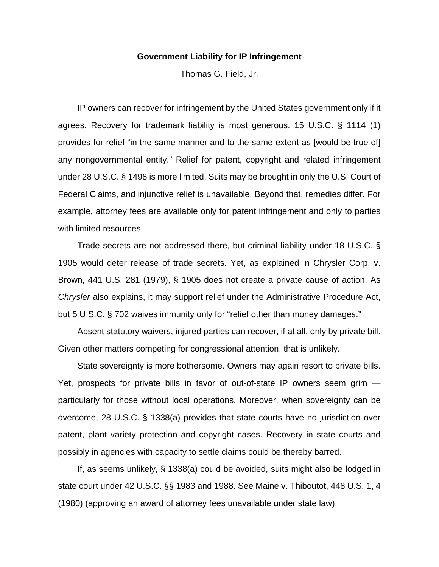## **Government Liability for IP Infringement**

Thomas G. Field, Jr.

 IP owners can recover for infringement by the United States government only if it agrees. Recovery for trademark liability is most generous. 15 U.S.C. § 1114 (1) provides for relief "in the same manner and to the same extent as [would be true of] any nongovernmental entity." Relief for patent, copyright and related infringement under 28 U.S.C. § 1498 is more limited. Suits may be brought in only the U.S. Court of Federal Claims, and injunctive relief is unavailable. Beyond that, remedies differ. For example, attorney fees are available only for patent infringement and only to parties with limited resources.

 Trade secrets are not addressed there, but criminal liability under 18 U.S.C. § 1905 would deter release of trade secrets. Yet, as explained in Chrysler Corp. v. Brown, 441 U.S. 281 (1979), § 1905 does not create a private cause of action. As *Chrysler* also explains, it may support relief under the Administrative Procedure Act, but 5 U.S.C. § 702 waives immunity only for "relief other than money damages."

 Absent statutory waivers, injured parties can recover, if at all, only by private bill. Given other matters competing for congressional attention, that is unlikely.

 State sovereignty is more bothersome. Owners may again resort to private bills. Yet, prospects for private bills in favor of out-of-state IP owners seem grim particularly for those without local operations. Moreover, when sovereignty can be overcome, 28 U.S.C. § 1338(a) provides that state courts have no jurisdiction over patent, plant variety protection and copyright cases. Recovery in state courts and possibly in agencies with capacity to settle claims could be thereby barred.

 If, as seems unlikely, § 1338(a) could be avoided, suits might also be lodged in state court under 42 U.S.C. §§ 1983 and 1988. See Maine v. Thiboutot, 448 U.S. 1, 4 (1980) (approving an award of attorney fees unavailable under state law).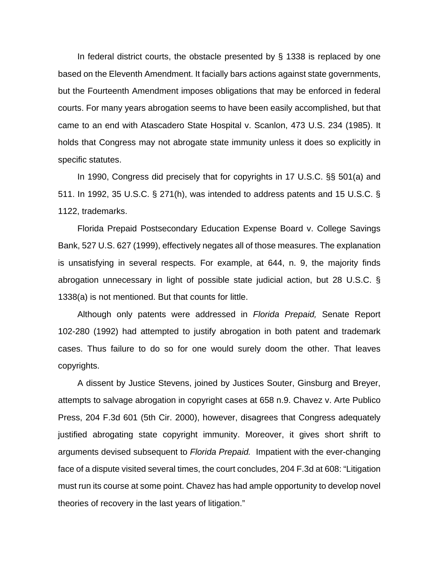In federal district courts, the obstacle presented by § 1338 is replaced by one based on the Eleventh Amendment. It facially bars actions against state governments, but the Fourteenth Amendment imposes obligations that may be enforced in federal courts. For many years abrogation seems to have been easily accomplished, but that came to an end with Atascadero State Hospital v. Scanlon, 473 U.S. 234 (1985). It holds that Congress may not abrogate state immunity unless it does so explicitly in specific statutes.

 In 1990, Congress did precisely that for copyrights in 17 U.S.C. §§ 501(a) and 511. In 1992, 35 U.S.C. § 271(h), was intended to address patents and 15 U.S.C. § 1122, trademarks.

 Florida Prepaid Postsecondary Education Expense Board v. College Savings Bank, 527 U.S. 627 (1999), effectively negates all of those measures. The explanation is unsatisfying in several respects. For example, at 644, n. 9, the majority finds abrogation unnecessary in light of possible state judicial action, but 28 U.S.C. § 1338(a) is not mentioned. But that counts for little.

 Although only patents were addressed in *Florida Prepaid,* Senate Report 102-280 (1992) had attempted to justify abrogation in both patent and trademark cases. Thus failure to do so for one would surely doom the other. That leaves copyrights.

 A dissent by Justice Stevens, joined by Justices Souter, Ginsburg and Breyer, attempts to salvage abrogation in copyright cases at 658 n.9. Chavez v. Arte Publico Press, 204 F.3d 601 (5th Cir. 2000), however, disagrees that Congress adequately justified abrogating state copyright immunity. Moreover, it gives short shrift to arguments devised subsequent to *Florida Prepaid.* Impatient with the ever-changing face of a dispute visited several times, the court concludes, 204 F.3d at 608: "Litigation must run its course at some point. Chavez has had ample opportunity to develop novel theories of recovery in the last years of litigation."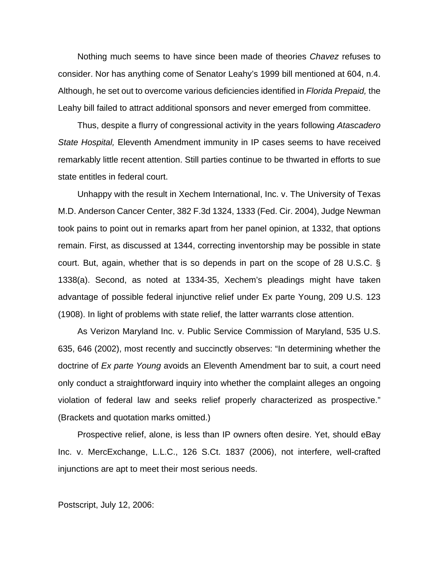Nothing much seems to have since been made of theories *Chavez* refuses to consider. Nor has anything come of Senator Leahy's 1999 bill mentioned at 604, n.4. Although, he set out to overcome various deficiencies identified in *Florida Prepaid,* the Leahy bill failed to attract additional sponsors and never emerged from committee.

 Thus, despite a flurry of congressional activity in the years following *Atascadero State Hospital,* Eleventh Amendment immunity in IP cases seems to have received remarkably little recent attention. Still parties continue to be thwarted in efforts to sue state entitles in federal court.

 Unhappy with the result in Xechem International, Inc. v. The University of Texas M.D. Anderson Cancer Center, 382 F.3d 1324, 1333 (Fed. Cir. 2004), Judge Newman took pains to point out in remarks apart from her panel opinion, at 1332, that options remain. First, as discussed at 1344, correcting inventorship may be possible in state court. But, again, whether that is so depends in part on the scope of 28 U.S.C. § 1338(a). Second, as noted at 1334-35, Xechem's pleadings might have taken advantage of possible federal injunctive relief under Ex parte Young, 209 U.S. 123 (1908). In light of problems with state relief, the latter warrants close attention.

 As Verizon Maryland Inc. v. Public Service Commission of Maryland, 535 U.S. 635, 646 (2002), most recently and succinctly observes: "In determining whether the doctrine of *Ex parte Young* avoids an Eleventh Amendment bar to suit, a court need only conduct a straightforward inquiry into whether the complaint alleges an ongoing violation of federal law and seeks relief properly characterized as prospective." (Brackets and quotation marks omitted.)

 Prospective relief, alone, is less than IP owners often desire. Yet, should eBay Inc. v. MercExchange, L.L.C., 126 S.Ct. 1837 (2006), not interfere, well-crafted injunctions are apt to meet their most serious needs.

Postscript, July 12, 2006: